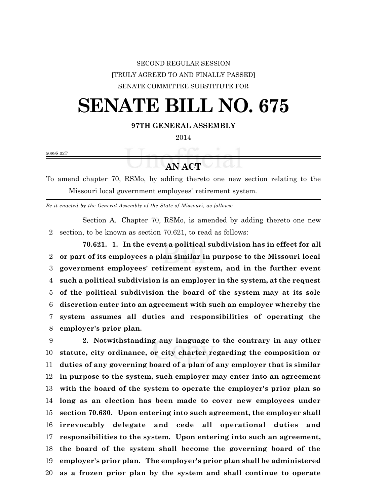## SECOND REGULAR SESSION **[**TRULY AGREED TO AND FINALLY PASSED**]** SENATE COMMITTEE SUBSTITUTE FOR

## **SENATE BILL NO. 675**

## **97TH GENERAL ASSEMBLY**

5089S.02T

## **AN ACT**

To amend chapter 70, RSMo, by adding thereto one new section relating to the Missouri local government employees' retirement system.

*Be it enacted by the General Assembly of the State of Missouri, as follows:*

Section A. Chapter 70, RSMo, is amended by adding thereto one new section, to be known as section 70.621, to read as follows:

**70.621. 1. In the event a political subdivision has in effect for all or part of its employees a plan similar in purpose to the Missouri local government employees' retirement system, and in the further event such a political subdivision is an employer in the system, at the request of the political subdivision the board of the system may at its sole discretion enter into an agreement with such an employer whereby the system assumes all duties and responsibilities of operating the employer's prior plan.**

 **2. Notwithstanding any language to the contrary in any other statute, city ordinance, or city charter regarding the composition or duties of any governing board of a plan of any employer that is similar in purpose to the system, such employer may enter into an agreement with the board of the system to operate the employer's prior plan so long as an election has been made to cover new employees under section 70.630. Upon entering into such agreement, the employer shall irrevocably delegate and cede all operational duties and responsibilities to the system. Upon entering into such an agreement, the board of the system shall become the governing board of the employer's prior plan. The employer's prior plan shall be administered as a frozen prior plan by the system and shall continue to operate**